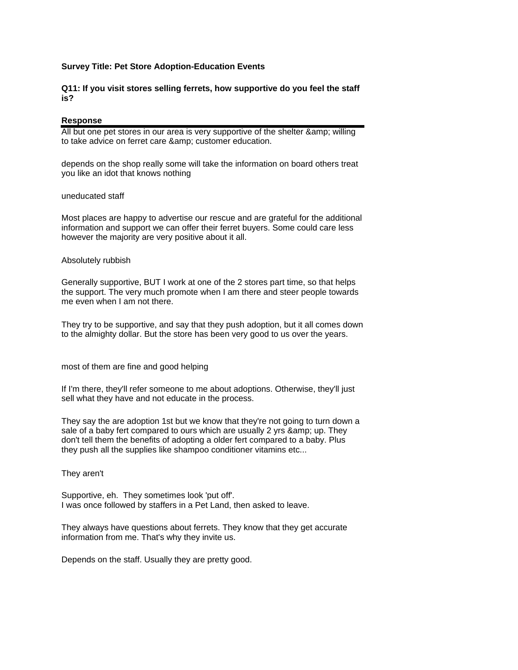# **Survey Title: Pet Store Adoption-Education Events**

# **Q11: If you visit stores selling ferrets, how supportive do you feel the staff is?**

### **Response**

All but one pet stores in our area is very supportive of the shelter & amp: willing to take advice on ferret care & amp; customer education.

depends on the shop really some will take the information on board others treat you like an idot that knows nothing

### uneducated staff

Most places are happy to advertise our rescue and are grateful for the additional information and support we can offer their ferret buyers. Some could care less however the majority are very positive about it all.

#### Absolutely rubbish

Generally supportive, BUT I work at one of the 2 stores part time, so that helps the support. The very much promote when I am there and steer people towards me even when I am not there.

They try to be supportive, and say that they push adoption, but it all comes down to the almighty dollar. But the store has been very good to us over the years.

most of them are fine and good helping

If I'm there, they'll refer someone to me about adoptions. Otherwise, they'll just sell what they have and not educate in the process.

They say the are adoption 1st but we know that they're not going to turn down a sale of a baby fert compared to ours which are usually 2 yrs & amp; up. They don't tell them the benefits of adopting a older fert compared to a baby. Plus they push all the supplies like shampoo conditioner vitamins etc...

They aren't

Supportive, eh. They sometimes look 'put off'. I was once followed by staffers in a Pet Land, then asked to leave.

They always have questions about ferrets. They know that they get accurate information from me. That's why they invite us.

Depends on the staff. Usually they are pretty good.